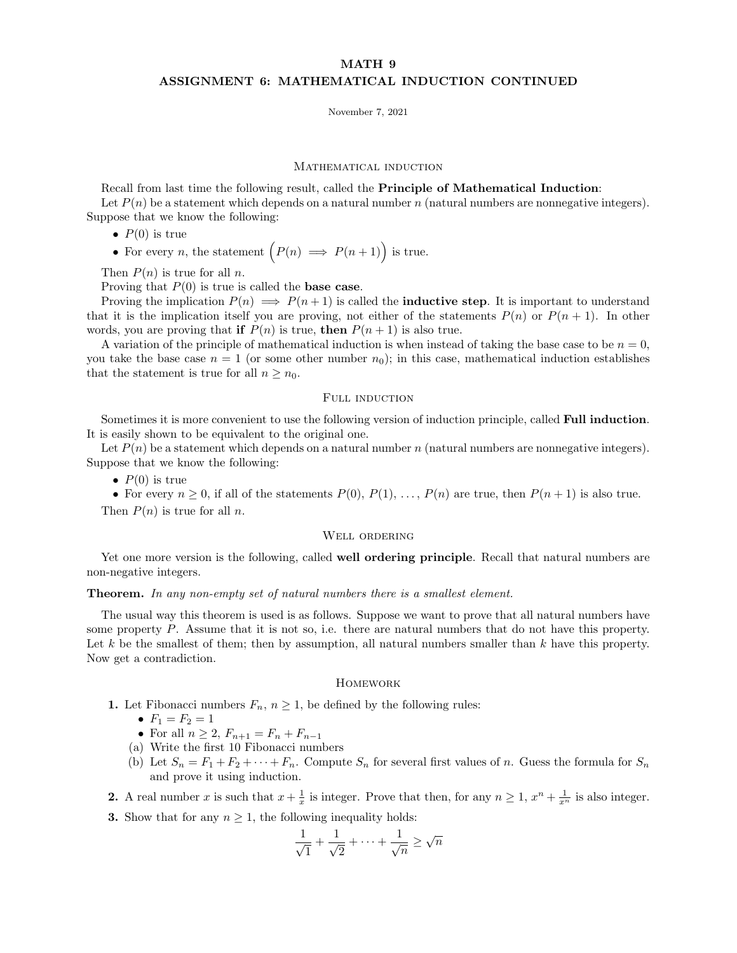# MATH 9 ASSIGNMENT 6: MATHEMATICAL INDUCTION CONTINUED

November 7, 2021

#### MATHEMATICAL INDUCTION

Recall from last time the following result, called the Principle of Mathematical Induction:

Let  $P(n)$  be a statement which depends on a natural number n (natural numbers are nonnegative integers). Suppose that we know the following:

- $P(0)$  is true
- For every *n*, the statement  $(P(n) \implies P(n+1))$  is true.

Then  $P(n)$  is true for all n.

Proving that  $P(0)$  is true is called the **base case**.

Proving the implication  $P(n) \implies P(n+1)$  is called the **inductive step**. It is important to understand that it is the implication itself you are proving, not either of the statements  $P(n)$  or  $P(n + 1)$ . In other words, you are proving that if  $P(n)$  is true, then  $P(n + 1)$  is also true.

A variation of the principle of mathematical induction is when instead of taking the base case to be  $n = 0$ , you take the base case  $n = 1$  (or some other number  $n_0$ ); in this case, mathematical induction establishes that the statement is true for all  $n \geq n_0$ .

## FULL INDUCTION

Sometimes it is more convenient to use the following version of induction principle, called Full induction. It is easily shown to be equivalent to the original one.

Let  $P(n)$  be a statement which depends on a natural number n (natural numbers are nonnegative integers). Suppose that we know the following:

•  $P(0)$  is true

• For every  $n \geq 0$ , if all of the statements  $P(0), P(1), \ldots, P(n)$  are true, then  $P(n + 1)$  is also true. Then  $P(n)$  is true for all n.

#### Well ordering

Yet one more version is the following, called well ordering principle. Recall that natural numbers are non-negative integers.

## Theorem. In any non-empty set of natural numbers there is a smallest element.

The usual way this theorem is used is as follows. Suppose we want to prove that all natural numbers have some property P. Assume that it is not so, i.e. there are natural numbers that do not have this property. Let k be the smallest of them; then by assumption, all natural numbers smaller than  $k$  have this property. Now get a contradiction.

### **HOMEWORK**

- 1. Let Fibonacci numbers  $F_n$ ,  $n \geq 1$ , be defined by the following rules:
	- $F_1 = F_2 = 1$
	- For all  $n \geq 2$ ,  $F_{n+1} = F_n + F_{n-1}$
	- (a) Write the first 10 Fibonacci numbers
	- (b) Let  $S_n = F_1 + F_2 + \cdots + F_n$ . Compute  $S_n$  for several first values of n. Guess the formula for  $S_n$ and prove it using induction.
- **2.** A real number x is such that  $x + \frac{1}{x}$  is integer. Prove that then, for any  $n \ge 1$ ,  $x^n + \frac{1}{x^n}$  is also integer.
- **3.** Show that for any  $n \geq 1$ , the following inequality holds:

$$
\frac{1}{\sqrt{1}} + \frac{1}{\sqrt{2}} + \dots + \frac{1}{\sqrt{n}} \ge \sqrt{n}
$$